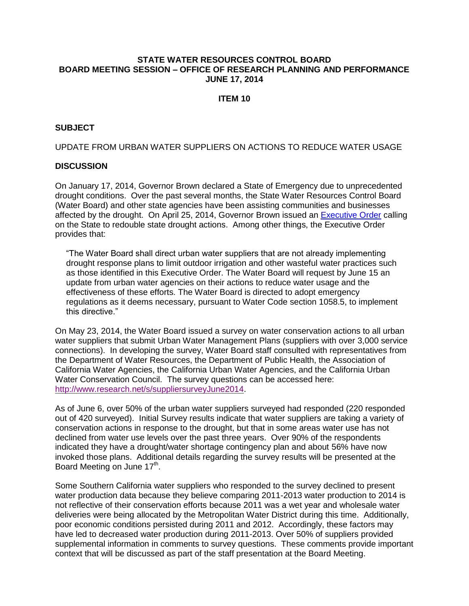### **STATE WATER RESOURCES CONTROL BOARD BOARD MEETING SESSION – OFFICE OF RESEARCH PLANNING AND PERFORMANCE JUNE 17, 2014**

### **ITEM 10**

### **SUBJECT**

#### UPDATE FROM URBAN WATER SUPPLIERS ON ACTIONS TO REDUCE WATER USAGE

#### **DISCUSSION**

On January 17, 2014, Governor Brown declared a State of Emergency due to unprecedented drought conditions. Over the past several months, the State Water Resources Control Board (Water Board) and other state agencies have been assisting communities and businesses affected by the drought. On April 25, 2014, Governor Brown issued an [Executive Order](http://gov.ca.gov/news.php?id=18496) calling on the State to redouble state drought actions. Among other things, the Executive Order provides that:

"The Water Board shall direct urban water suppliers that are not already implementing drought response plans to limit outdoor irrigation and other wasteful water practices such as those identified in this Executive Order. The Water Board will request by June 15 an update from urban water agencies on their actions to reduce water usage and the effectiveness of these efforts. The Water Board is directed to adopt emergency regulations as it deems necessary, pursuant to Water Code section 1058.5, to implement this directive."

On May 23, 2014, the Water Board issued a survey on water conservation actions to all urban water suppliers that submit Urban Water Management Plans (suppliers with over 3,000 service connections). In developing the survey, Water Board staff consulted with representatives from the Department of Water Resources, the Department of Public Health, the Association of California Water Agencies, the California Urban Water Agencies, and the California Urban Water Conservation Council. The survey questions can be accessed here: [http://www.research.net/s/suppliersurveyJune2014.](http://www.research.net/s/suppliersurveyJune2014)

As of June 6, over 50% of the urban water suppliers surveyed had responded (220 responded out of 420 surveyed). Initial Survey results indicate that water suppliers are taking a variety of conservation actions in response to the drought, but that in some areas water use has not declined from water use levels over the past three years. Over 90% of the respondents indicated they have a drought/water shortage contingency plan and about 56% have now invoked those plans. Additional details regarding the survey results will be presented at the Board Meeting on June 17<sup>th</sup>.

Some Southern California water suppliers who responded to the survey declined to present water production data because they believe comparing 2011-2013 water production to 2014 is not reflective of their conservation efforts because 2011 was a wet year and wholesale water deliveries were being allocated by the Metropolitan Water District during this time. Additionally, poor economic conditions persisted during 2011 and 2012. Accordingly, these factors may have led to decreased water production during 2011-2013. Over 50% of suppliers provided supplemental information in comments to survey questions. These comments provide important context that will be discussed as part of the staff presentation at the Board Meeting.